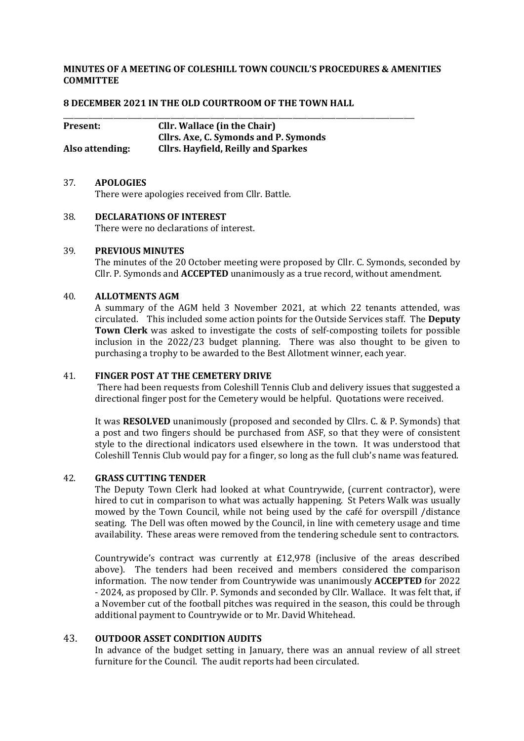# **MINUTES OF A MEETING OF COLESHILL TOWN COUNCIL'S PROCEDURES & AMENITIES COMMITTEE**

## **8 DECEMBER 2021 IN THE OLD COURTROOM OF THE TOWN HALL**

| <b>Present:</b> | <b>Cllr.</b> Wallace (in the Chair)        |  |
|-----------------|--------------------------------------------|--|
|                 | Cllrs. Axe, C. Symonds and P. Symonds      |  |
| Also attending: | <b>Cllrs. Hayfield, Reilly and Sparkes</b> |  |

## 37. **APOLOGIES**

There were apologies received from Cllr. Battle.

# 38. **DECLARATIONS OF INTEREST**

There were no declarations of interest.

### 39. **PREVIOUS MINUTES**

The minutes of the 20 October meeting were proposed by Cllr. C. Symonds, seconded by Cllr. P. Symonds and **ACCEPTED** unanimously as a true record, without amendment.

## 40. **ALLOTMENTS AGM**

A summary of the AGM held 3 November 2021, at which 22 tenants attended, was circulated. This included some action points for the Outside Services staff. The **Deputy Town Clerk** was asked to investigate the costs of self-composting toilets for possible inclusion in the 2022/23 budget planning. There was also thought to be given to purchasing a trophy to be awarded to the Best Allotment winner, each year.

### 41. **FINGER POST AT THE CEMETERY DRIVE**

There had been requests from Coleshill Tennis Club and delivery issues that suggested a directional finger post for the Cemetery would be helpful. Quotations were received.

It was **RESOLVED** unanimously (proposed and seconded by Cllrs. C. & P. Symonds) that a post and two fingers should be purchased from ASF, so that they were of consistent style to the directional indicators used elsewhere in the town. It was understood that Coleshill Tennis Club would pay for a finger, so long as the full club's name was featured.

# 42. **GRASS CUTTING TENDER**

The Deputy Town Clerk had looked at what Countrywide, (current contractor), were hired to cut in comparison to what was actually happening. St Peters Walk was usually mowed by the Town Council, while not being used by the café for overspill /distance seating. The Dell was often mowed by the Council, in line with cemetery usage and time availability. These areas were removed from the tendering schedule sent to contractors.

Countrywide's contract was currently at £12,978 (inclusive of the areas described above). The tenders had been received and members considered the comparison information. The now tender from Countrywide was unanimously **ACCEPTED** for 2022 - 2024, as proposed by Cllr. P. Symonds and seconded by Cllr. Wallace. It was felt that, if a November cut of the football pitches was required in the season, this could be through additional payment to Countrywide or to Mr. David Whitehead.

## 43. **OUTDOOR ASSET CONDITION AUDITS**

In advance of the budget setting in January, there was an annual review of all street furniture for the Council. The audit reports had been circulated.